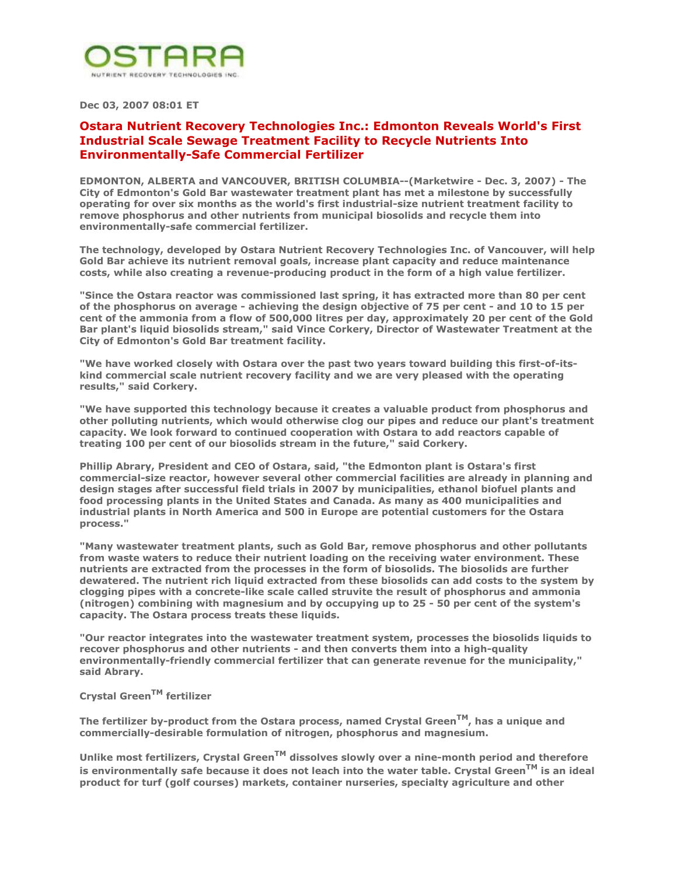

**Dec 03, 2007 08:01 ET** 

## **Ostara Nutrient Recovery Technologies Inc.: Edmonton Reveals World's First Industrial Scale Sewage Treatment Facility to Recycle Nutrients Into Environmentally-Safe Commercial Fertilizer**

**EDMONTON, ALBERTA and VANCOUVER, BRITISH COLUMBIA--(Marketwire - Dec. 3, 2007) - The City of Edmonton's Gold Bar wastewater treatment plant has met a milestone by successfully operating for over six months as the world's first industrial-size nutrient treatment facility to remove phosphorus and other nutrients from municipal biosolids and recycle them into environmentally-safe commercial fertilizer.** 

**The technology, developed by Ostara Nutrient Recovery Technologies Inc. of Vancouver, will help Gold Bar achieve its nutrient removal goals, increase plant capacity and reduce maintenance costs, while also creating a revenue-producing product in the form of a high value fertilizer.** 

**"Since the Ostara reactor was commissioned last spring, it has extracted more than 80 per cent of the phosphorus on average - achieving the design objective of 75 per cent - and 10 to 15 per cent of the ammonia from a flow of 500,000 litres per day, approximately 20 per cent of the Gold Bar plant's liquid biosolids stream," said Vince Corkery, Director of Wastewater Treatment at the City of Edmonton's Gold Bar treatment facility.** 

**"We have worked closely with Ostara over the past two years toward building this first-of-itskind commercial scale nutrient recovery facility and we are very pleased with the operating results," said Corkery.** 

**"We have supported this technology because it creates a valuable product from phosphorus and other polluting nutrients, which would otherwise clog our pipes and reduce our plant's treatment capacity. We look forward to continued cooperation with Ostara to add reactors capable of treating 100 per cent of our biosolids stream in the future," said Corkery.** 

**Phillip Abrary, President and CEO of Ostara, said, "the Edmonton plant is Ostara's first commercial-size reactor, however several other commercial facilities are already in planning and design stages after successful field trials in 2007 by municipalities, ethanol biofuel plants and food processing plants in the United States and Canada. As many as 400 municipalities and industrial plants in North America and 500 in Europe are potential customers for the Ostara process."** 

**"Many wastewater treatment plants, such as Gold Bar, remove phosphorus and other pollutants from waste waters to reduce their nutrient loading on the receiving water environment. These nutrients are extracted from the processes in the form of biosolids. The biosolids are further dewatered. The nutrient rich liquid extracted from these biosolids can add costs to the system by clogging pipes with a concrete-like scale called struvite the result of phosphorus and ammonia (nitrogen) combining with magnesium and by occupying up to 25 - 50 per cent of the system's capacity. The Ostara process treats these liquids.** 

**"Our reactor integrates into the wastewater treatment system, processes the biosolids liquids to recover phosphorus and other nutrients - and then converts them into a high-quality environmentally-friendly commercial fertilizer that can generate revenue for the municipality," said Abrary.** 

## **Crystal GreenTM fertilizer**

**The fertilizer by-product from the Ostara process, named Crystal GreenTM, has a unique and commercially-desirable formulation of nitrogen, phosphorus and magnesium.** 

Unlike most fertilizers, Crystal Green<sup>TM</sup> dissolves slowly over a nine-month period and therefore **is environmentally safe because it does not leach into the water table. Crystal GreenTM is an ideal product for turf (golf courses) markets, container nurseries, specialty agriculture and other**